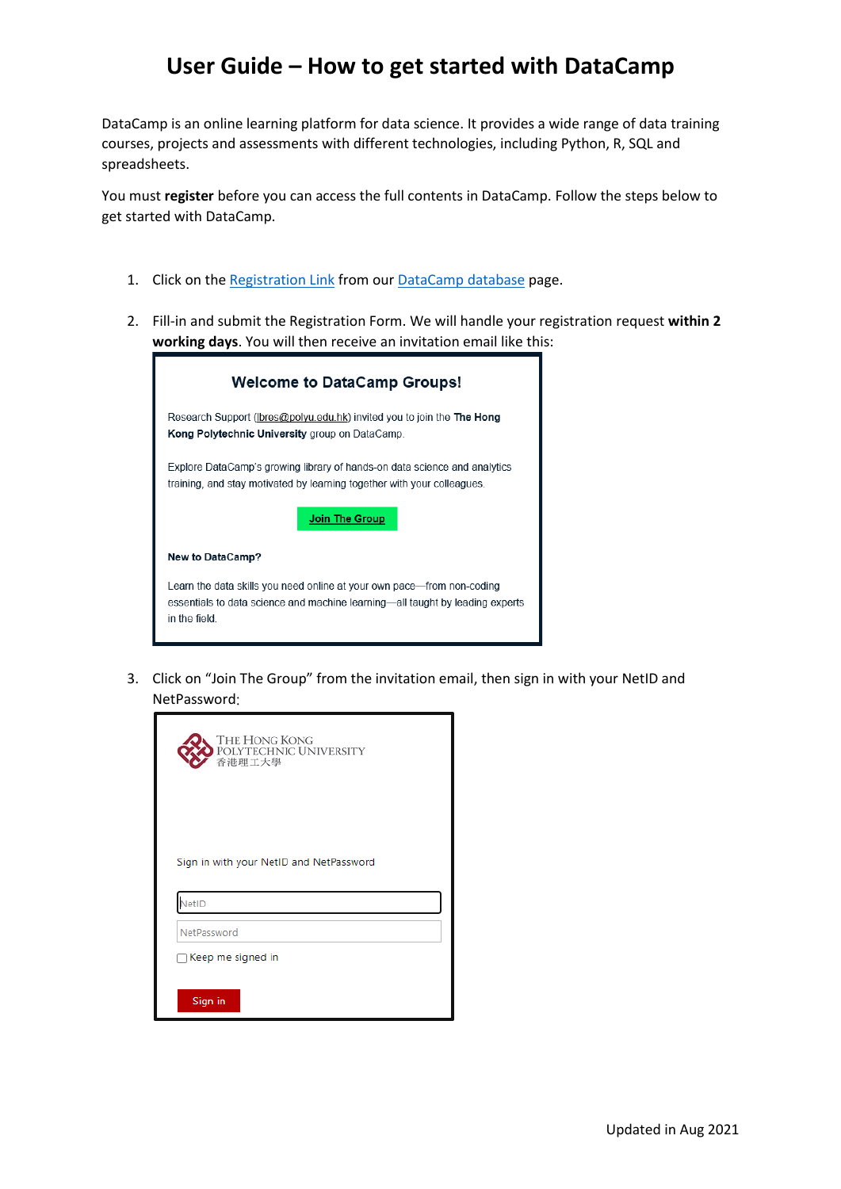## **User Guide – How to get started with DataCamp**

DataCamp is an online learning platform for data science. It provides a wide range of data training courses, projects and assessments with different technologies, including Python, R, SQL and spreadsheets.

You must **register** before you can access the full contents in DataCamp. Follow the steps below to get started with DataCamp.

- 1. Click on th[e Registration Link](https://www.lib.polyu.edu.hk/e-forms/research-support/datacamp/create) from ou[r DataCamp](https://www.lib.polyu.edu.hk/databases/datacamp) database page.
- 2. Fill-in and submit the Registration Form. We will handle your registration request **within 2 working days**. You will then receive an invitation email like this:

| <b>Welcome to DataCamp Groups!</b>                                                                                                                                       |
|--------------------------------------------------------------------------------------------------------------------------------------------------------------------------|
| Research Support (Ibres@polyu.edu.hk) invited you to join the The Hong<br>Kong Polytechnic University group on DataCamp.                                                 |
| Explore DataCamp's growing library of hands-on data science and analytics<br>training, and stay motivated by learning together with your colleagues.                     |
| Join The Group                                                                                                                                                           |
| <b>New to DataCamp?</b>                                                                                                                                                  |
| Learn the data skills you need online at your own pace—from non-coding<br>essentials to data science and machine learning—all taught by leading experts<br>in the field. |

3. Click on "Join The Group" from the invitation email, then sign in with your NetID and NetPassword:

| THE HONG KONG<br>POLYTECHNIC UNIVERSITY<br>香港理工大學 |
|---------------------------------------------------|
| Sign in with your NetID and NetPassword<br>VetID  |
| NetPassword                                       |
| Keep me signed in                                 |
|                                                   |